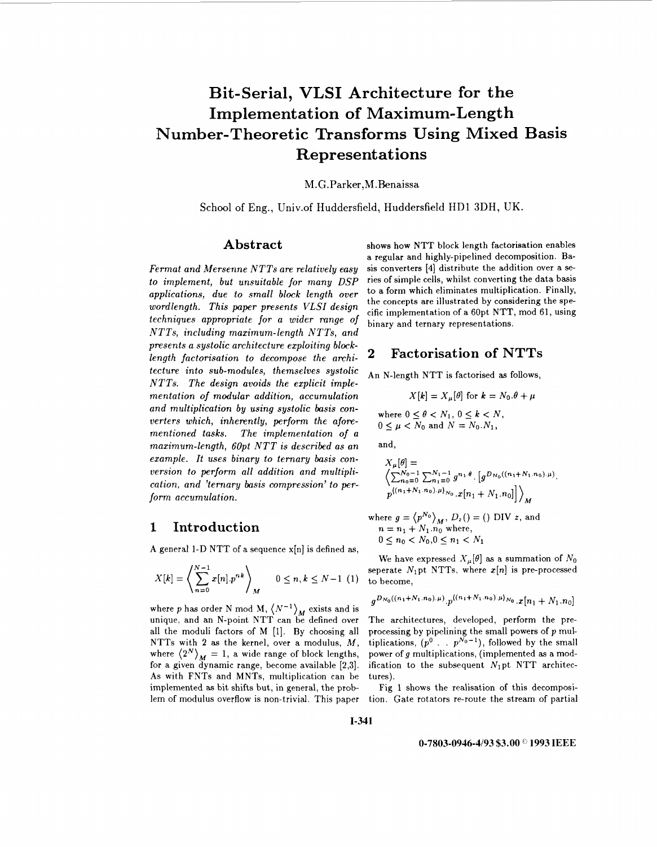# **Bit-Serial, VLSI Architecture for the Implementation of Maximum-Length Number-Theoretic Transforms Using Mixed Basis Represent at ions**

M.G.Parker, M.Benaissa

School of Eng., Univ.of Huddersfield, Huddersfield **IIDl** 3DH, UK.

#### **Abstract**

*Fermat and Mersenne NTTs are relatively easy to implement, but unsuitable for many DSP applications, due to small block length over wordlength. This paper presents VLSI design techniques appropriate for a wider range* of *NTTs, including maximum-length NTTs, and presents a systolic architecture exploiting blocklength factorisation to decompose the architecture into sub-modules, themselves systolic NTTs. The design avoids the explicit implementation of modular addition, accumulation and multiplication by using systolic basis converters which, inherently, perform the aforementioned tasks. The implementation of a maximum-length, 60pt NTT is described as an example. It uses binary to ternary basis conversion to perform all addition and multiplication, and 'ternary basis compression' to perform accumulation.* 

#### **1 Introduction**

A general l-D NTT of a sequence x[n] is defined **as,** 

$$
X[k] = \left\langle \sum_{n=0}^{N-1} x[n] \cdot p^{nk} \right\rangle_M \quad 0 \le n, k \le N-1 \tag{1}
$$

where *p* has order N mod M,  $\langle N^{-1} \rangle_M$  exists and is unique, and an N-point NTT can be defined over all the moduli factors of M [l]. By choosing all NTTs with **2** as the kernel, over a modulus, *M,*  where  $\langle 2^N \rangle_M = 1$ , a wide range of block lengths, for a given dynamic range, become available *[2,3].*  As with FNTs and MNTs, multiplication can be implemented as bit shifts but, in general, the problem of modulus overflow is non-trivial. This paper shows **how** NTT block length factorisation enables a regular and highly-pipelined decomposition. Basis converters **[4]** distribute the addition over a series of simple cells, whilst converting the data basis to a form which eliminates multiplication. Finally, the concepts are illustrated by considering the specific implementation of a 60pt NTT, mod 61, using binary and ternary representations.

### **2 Factorisation of NTTs**

An N-length NTT is factorised as follows,

$$
X[k] = X_{\mu}[\theta]
$$
 for  $k = N_0.\theta + \mu$ 

where  $0 \leq \theta < N_1, 0 \leq k < N$ ,  $0 \leq \mu \leq N_0$  and  $N = N_0 \cdot N_1$ ,

and,

$$
X_{\mu}[\theta] =
$$
  
\n
$$
\left\langle \sum_{n_0=0}^{N_0-1} \sum_{n_1=0}^{N_1-1} g^{n_1, \theta} \cdot \left[ g^{D_{N_0}((n_1+N_1,n_0),\mu)} \right],
$$
  
\n
$$
p^{((n_1+N_1,n_0),\mu)_{N_0}} \cdot x[n_1+N_1,n_0] \right\rangle_{M}
$$

where  $g = \langle p^{N_0} \rangle_M$ ,  $D_z() = ()$  DIV *z*, and  $n = n_1 + N_1 \cdot n_0$  where,  $0 \leq n_0 < N_0, 0 \leq n_1 < N_1$ 

We have expressed  $X_{\mu}[\theta]$  as a summation of  $N_0$ seperate  $N_1$ pt NTTs, where  $x[n]$  is pre-processed to become,

$$
g^{D_{N_0}((n_1+N_1,n_0),\mu)} \cdot p^{\langle (n_1+N_1,n_0),\mu \rangle_{N_0}} \cdot x[n_1+N_1,n_0]
$$

The architectures, developed, perform the preprocessing by pipelining the small powers of **p** multiplications,  $(p^0 \ldots p^{N_0-1})$ , followed by the small power of g multiplications, (implemented as a modification to the subsequent  $N_1$ pt NTT architectures).

[Fig 1](#page-3-0) shows the realisation of this decomposition. Gate rotators re-route the stream of partial

**1-341** 

#### **0-7803-0946-4193 \$3.00** *0* **1993 IEEE**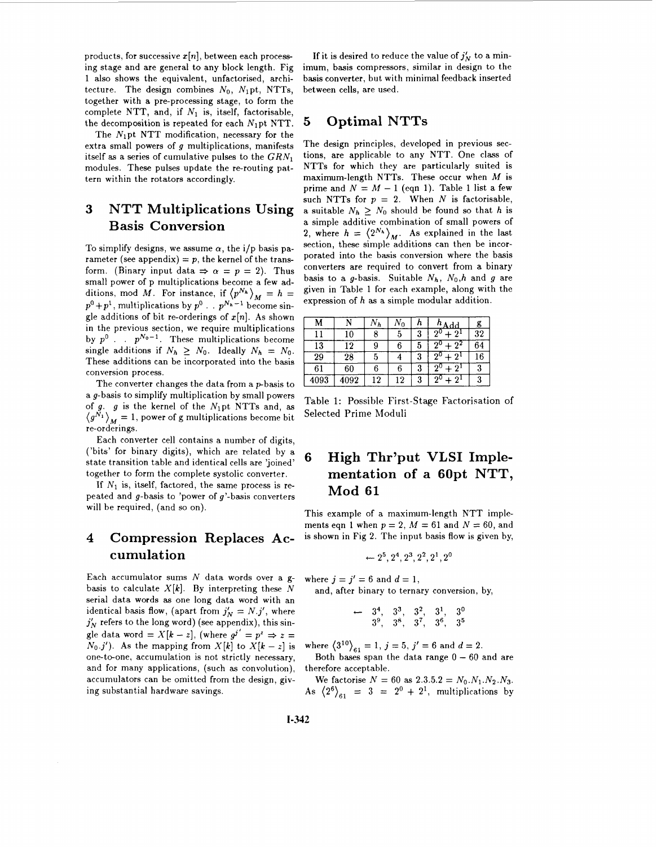products, for successive  $x[n]$ , between each processing stage and are general to any block length. [Fig](#page-3-0) **[1](#page-3-0)** also shows the equivalent, unfactorised, architecture. The design combines  $N_0$ ,  $N_1$ pt, NTTs, together with a pre-processing stage, to form the complete NTT, and, if *N1* is, itself, factorisable, the decomposition is repeated for each  $N_1$ pt NTT.

The  $N_1$ pt NTT modification, necessary for the extra small powers of  $g$  multiplications, manifests itself as a series of cumulative pulses to the  $GRN_1$ modules. These pulses update the re-routing pattern within the rotators accordingly.

# **3 NTT Multiplications Using Basis Conversion**

To simplify designs, we assume  $\alpha$ , the i/p basis parameter (see appendix)  $= p$ , the kernel of the transform. (Binary input data  $\Rightarrow \alpha = p = 2$ ). Thus small power of p multiplications become a few additions, mod *M*. For instance, if  $\langle p^{N_h} \rangle_M = h =$  $p^0 + p^1$ , multiplications by  $p^0$  . .  $p^{N_h-1}$  become single additions of bit re-orderings of  $x[n]$ . As shown in the previous section, we require multiplications by  $p^0$ . .  $p^{N_0-1}$ . These multiplications become single additions if  $N_h \geq N_0$ . Ideally  $N_h = N_0$ . These additions can be incorporated into the basis conversion process.

The converter changes the data from a  $p$ -basis to a g-basis to simplify multiplication by small powers of g. g is the kernel of the  $N_1$ pt NTTs and, as  $\langle g^{\tilde{N}_1} \rangle_M = 1$ , power of g multiplications become bit re-orderings.

Each converter cell contains a number of digits, ('bits' for binary digits), which are related by a state transition table and identical cells are 'joined' together to form the complete systolic converter.

If  $N_1$  is, itself, factored, the same process is repeated and  $g$ -basis to 'power of  $g$ '-basis converters will be required, (and so on).

# **4 Compression Replaces Accumulation**

Each accumulator sums *N* data words over a gbasis to calculate  $X[k]$ . By interpreting these  $N$ serial data words as one long data word with an identical basis flow, (apart from  $j'_N = N.j'$ , where  $j'_N$  refers to the long word) (see appendix), this single data word =  $X[k - z]$ , (where  $g^{j'} = p^z \Rightarrow z =$  $N_0$ .*j'*). As the mapping from  $X[k]$  to  $X[k - z]$  is one-to-one, accumulation is not strictly necessary, and for many applications, (such as convolution), accumulators can be omitted from the design, giving substantial hardware savings.

If it is desired to reduce the value of  $j'_{N}$  to a minimum, basis compressors, similar in design to the basis converter, but with minimal feedback inserted between cells, are used.

# **5 Optimal NTTs**

-

The design principles, developed in previous sections, are applicable to any NTT. One class of NTTs for which they are particularly suited is maximum-length NTTs. These occur when *M* is prime and  $N = M - 1$  (eqn 1). Table 1 list a few such NTTs for  $p = 2$ . When *N* is factorisable, a suitable  $N_h > N_0$  should be found so that *h* is a simple additive combination of small powers of 2, where  $h = \langle 2^{N_h} \rangle_M$ . As explained in the last section, these simple additions can then be incorporated into the basis conversion where the basis converters are required to convert from a binary basis to a *g*-basis. Suitable  $N_h$ ,  $N_0$ , h and g are given in Table **1** for each example, along with the expression of *h* as a simple modular addition.

|      |         | 'Yh |    |        | dd |    |
|------|---------|-----|----|--------|----|----|
|      | 10      |     |    | ≘<br>J |    | 32 |
| 13   | 19      |     |    | 5      |    |    |
| 29   | $^{28}$ |     |    | e.     |    | .6 |
| 61   | 60      |     |    | 3      |    |    |
| 4093 | )92     | י ו | -9 | ባ<br>٠ |    |    |

Table 1: Possible First-Stage Factorisation of Selected Prime Moduli

# **6 High Thr'put VLSI Implementation of a 60pt NTT, Mod 61**

This example of a maximum-length NTT implements eqn 1 when  $p = 2$ ,  $M = 61$  and  $N = 60$ , and is shown in Fig **2.** The input basis flow is given by,

$$
\leftarrow 2^5, 2^4, 2^3, 2^2, 2^1, 2^0
$$

where  $j = j' = 6$  and  $d = 1$ ,

and, after binary to ternary conversion, by,

$$
\begin{array}{cccccc}\n & 3^4, & 3^3, & 3^2, & 3^1, & 3^0 \\
& 3^9, & 3^8, & 3^7, & 3^6, & 3^5\n\end{array}
$$

where  $\langle 3^{10} \rangle_{61} = 1, j = 5, j' = 6$  and  $d = 2$ .

Both bases span the data range  $0 - 60$  and are therefore acceptable.

We factorise  $N = 60$  as  $2.3.5.2 = N_0 N_1 N_2 N_3$ . As  $\langle 2^6 \rangle_{61}$  = 3 =  $2^0 + 2^1$ , multiplications by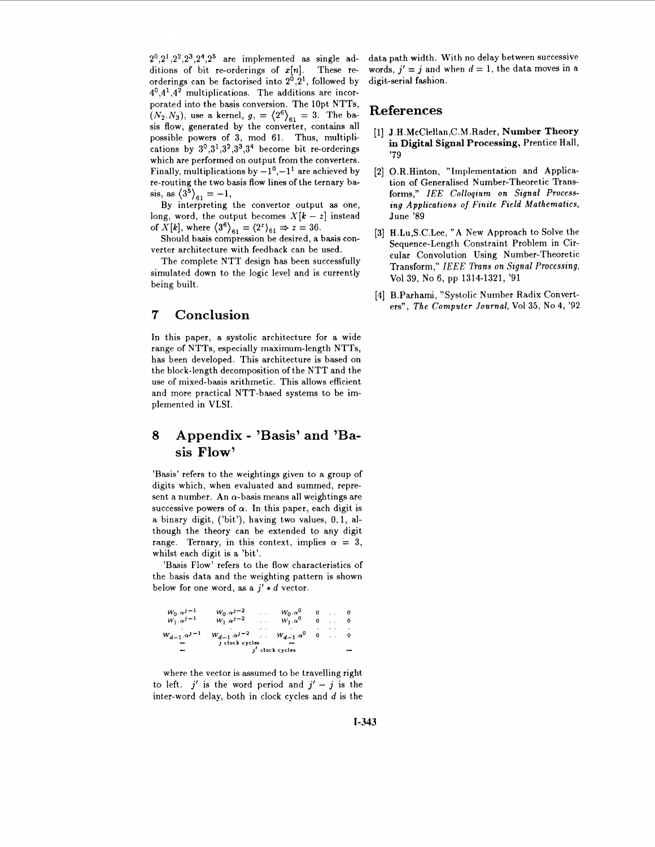$2^0, 2^1, 2^2, 2^3, 2^4, 2^5$  are implemented as single additions of bit re-orderings of  $x[n]$ . These reorderings can be factorised into  $2^0$ ,  $2^1$ , followed by **4',4l ,4'** multiplications. The additions are incorporated into the basis conversion. The lOpt NTTs,  $(N_2.N_3)$ , use a kernel,  $g_1 = \langle 2^6 \rangle_{61} = 3$ . The basis flow, generated by the converter, contains all possible powers of **3,** mod **61.** Thus, multiplications by  $3^0,3^1,3^2,3^3,3^4$  become bit re-orderings which are performed on output from the converters. Finally, multiplications by  $-1^0$ ,  $-1^1$  are achieved by re-routing the two basis flow lines of the ternary basis, as  $\langle 3^{\bar{5}} \rangle_{61} = -1$ ,

By interpreting the convertor output as one, long, word, the output becomes  $X[k - z]$  instead of  $\overline{X}[k]$ , where  $\langle 3^6 \rangle_{61} = \langle 2^2 \rangle_{61} \Rightarrow z = 36$ .

Should basis compression be desired, a basis converter architecture with feedback can be used.

The complete NTT design has been successfully simulated down to the logic level and is currently being built.

#### **7 Conclusion**

In this paper, a systolic architecture for a wide range of NTTs, especially maximum-length NTTs, has been developed. This architecture is based on the block-length decomposition of the NTT and the use of mixed-basis arithmetic. This allows efficient and more practical NTT-based systems to be implemented in VLSI.

## *8* **Appendix** - **'Basis' and 'Basis Flow'**

'Basis' refers to the weightings given to a group **of**  digits which, when evaluated and summed, represent a number. An  $\alpha$ -basis means all weightings are successive powers of  $\alpha$ . In this paper, each digit is a binary digit, ('bit'), having two values, **0,1,** although the theory can be extended to any digit range. Ternary, in this context, implies  $\alpha = 3$ , whilst each digit is a 'bit'.

'Basis Flow' refers to the flow characteristics of the basis data and the weighting pattern is shown below for one word, as a  $j' * d$  vector.

| $W_0 \cdot \alpha^{j-1}$            | $W_0 \cdot \alpha^{j-2}$                      |  | $W_0 \cdot \alpha^0$ |  |  |  |
|-------------------------------------|-----------------------------------------------|--|----------------------|--|--|--|
| $\overline{W_1} \cdot \alpha^{j-1}$ | $\overline{W_1} \cdot \alpha^{j-2}$           |  | $W_1 \cdot \alpha^0$ |  |  |  |
|                                     |                                               |  |                      |  |  |  |
| $W_{d-1}$ $\alpha^{j-1}$            | $W_{d-1} \alpha^{j-2}$ . $W_{d-1} \alpha^0$ 0 |  |                      |  |  |  |
|                                     | j clock cycles                                |  |                      |  |  |  |
|                                     | $j'$ clock cycles                             |  |                      |  |  |  |

where the vector is assumed to be travelling right to left.  $j'$  is the word period and  $j' - j$  is the inter-word delay, both in clock cycles and  $d$  is the

data path width. With no delay between successive words,  $j' = j$  and when  $d = 1$ , the data moves in a digit-serial fashion.

#### **References**

- **J .H** .McClellan ,C.M .Rader, **Number Theory**  in **Digital Signal Processing,** Prentice Hall, **'79**
- O.R.Hinton, "Implementation and Application of Generalised Number-Theoretic Transforms," *IEE Colloqium on Signal Processing Applications of Finite Field Mathematics,*  June **'89**
- H.Lu,S.C.Lee, **"A** New Approach to Solve the Sequence-Length Constraint Problem in Circular Convolution Using Number-Theoretic Transform," *IEEE Trans on Signal Processing,*  Vol **39,** No 6, pp **1314-1321, '91**
- [4] B.Parhami, "Systolic Number Radix Converters", *The Computer Journal,* Vol **35,** No **4, '92**